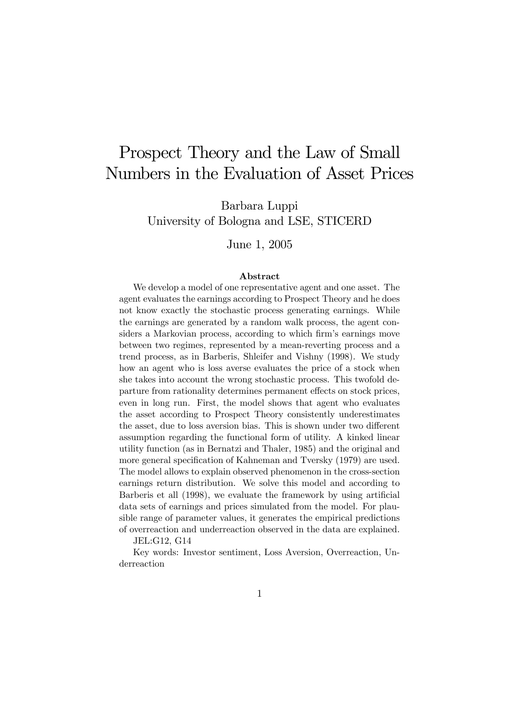# Prospect Theory and the Law of Small Numbers in the Evaluation of Asset Prices

Barbara Luppi University of Bologna and LSE, STICERD

June 1, 2005

#### Abstract

We develop a model of one representative agent and one asset. The agent evaluates the earnings according to Prospect Theory and he does not know exactly the stochastic process generating earnings. While the earnings are generated by a random walk process, the agent considers a Markovian process, according to which firm's earnings move between two regimes, represented by a mean-reverting process and a trend process, as in Barberis, Shleifer and Vishny (1998). We study how an agent who is loss averse evaluates the price of a stock when she takes into account the wrong stochastic process. This twofold departure from rationality determines permanent effects on stock prices, even in long run. First, the model shows that agent who evaluates the asset according to Prospect Theory consistently underestimates the asset, due to loss aversion bias. This is shown under two different assumption regarding the functional form of utility. A kinked linear utility function (as in Bernatzi and Thaler, 1985) and the original and more general specification of Kahneman and Tversky (1979) are used. The model allows to explain observed phenomenon in the cross-section earnings return distribution. We solve this model and according to Barberis et all (1998), we evaluate the framework by using artificial data sets of earnings and prices simulated from the model. For plausible range of parameter values, it generates the empirical predictions of overreaction and underreaction observed in the data are explained.

JEL:G12, G14

Key words: Investor sentiment, Loss Aversion, Overreaction, Underreaction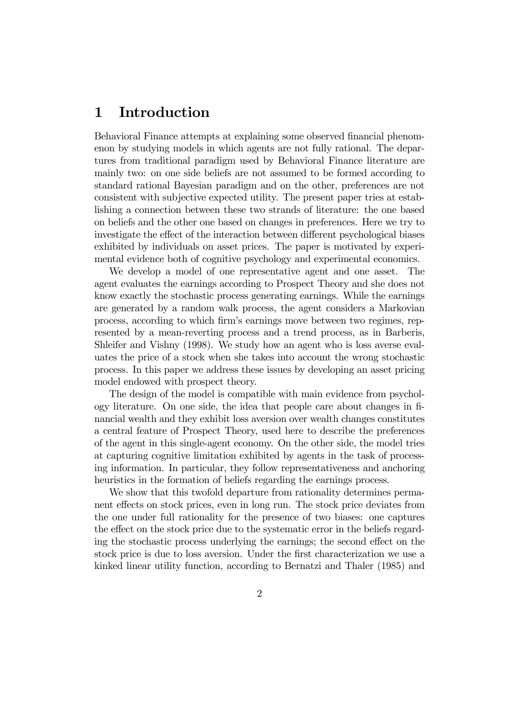### 1 Introduction

Behavioral Finance attempts at explaining some observed financial phenomenon by studying models in which agents are not fully rational. The departures from traditional paradigm used by Behavioral Finance literature are mainly two: on one side beliefs are not assumed to be formed according to standard rational Bayesian paradigm and on the other, preferences are not consistent with subjective expected utility. The present paper tries at establishing a connection between these two strands of literature: the one based on beliefs and the other one based on changes in preferences. Here we try to investigate the effect of the interaction between different psychological biases exhibited by individuals on asset prices. The paper is motivated by experimental evidence both of cognitive psychology and experimental economics.

We develop a model of one representative agent and one asset. The agent evaluates the earnings according to Prospect Theory and she does not know exactly the stochastic process generating earnings. While the earnings are generated by a random walk process, the agent considers a Markovian process, according to which firm's earnings move between two regimes, represented by a mean-reverting process and a trend process, as in Barberis, Shleifer and Vishny (1998). We study how an agent who is loss averse evaluates the price of a stock when she takes into account the wrong stochastic process. In this paper we address these issues by developing an asset pricing model endowed with prospect theory.

The design of the model is compatible with main evidence from psychology literature. On one side, the idea that people care about changes in financial wealth and they exhibit loss aversion over wealth changes constitutes a central feature of Prospect Theory, used here to describe the preferences of the agent in this single-agent economy. On the other side, the model tries at capturing cognitive limitation exhibited by agents in the task of processing information. In particular, they follow representativeness and anchoring heuristics in the formation of beliefs regarding the earnings process.

We show that this twofold departure from rationality determines permanent effects on stock prices, even in long run. The stock price deviates from the one under full rationality for the presence of two biases: one captures the effect on the stock price due to the systematic error in the beliefs regarding the stochastic process underlying the earnings; the second effect on the stock price is due to loss aversion. Under the first characterization we use a kinked linear utility function, according to Bernatzi and Thaler (1985) and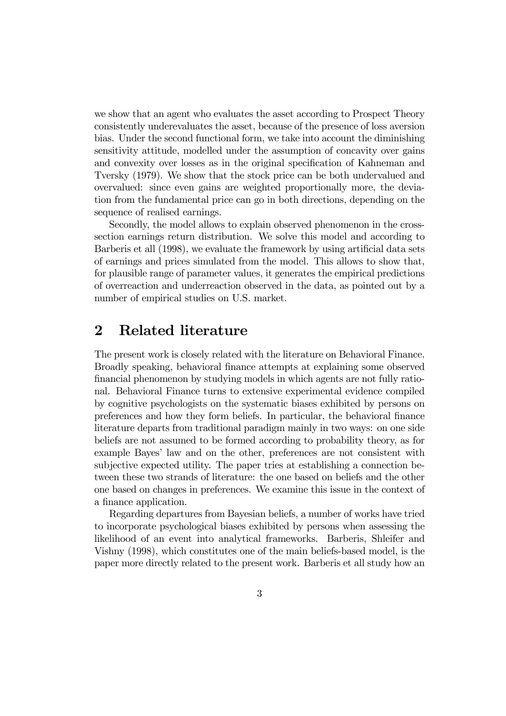we show that an agent who evaluates the asset according to Prospect Theory consistently underevaluates the asset, because of the presence of loss aversion bias. Under the second functional form, we take into account the diminishing sensitivity attitude, modelled under the assumption of concavity over gains and convexity over losses as in the original specification of Kahneman and Tversky (1979). We show that the stock price can be both undervalued and overvalued: since even gains are weighted proportionally more, the deviation from the fundamental price can go in both directions, depending on the sequence of realised earnings.

Secondly, the model allows to explain observed phenomenon in the crosssection earnings return distribution. We solve this model and according to Barberis et all (1998), we evaluate the framework by using artificial data sets of earnings and prices simulated from the model. This allows to show that, for plausible range of parameter values, it generates the empirical predictions of overreaction and underreaction observed in the data, as pointed out by a number of empirical studies on U.S. market.

### 2 Related literature

The present work is closely related with the literature on Behavioral Finance. Broadly speaking, behavioral finance attempts at explaining some observed financial phenomenon by studying models in which agents are not fully rational. Behavioral Finance turns to extensive experimental evidence compiled by cognitive psychologists on the systematic biases exhibited by persons on preferences and how they form beliefs. In particular, the behavioral finance literature departs from traditional paradigm mainly in two ways: on one side beliefs are not assumed to be formed according to probability theory, as for example Bayes' law and on the other, preferences are not consistent with subjective expected utility. The paper tries at establishing a connection between these two strands of literature: the one based on beliefs and the other one based on changes in preferences. We examine this issue in the context of a finance application.

Regarding departures from Bayesian beliefs, a number of works have tried to incorporate psychological biases exhibited by persons when assessing the likelihood of an event into analytical frameworks. Barberis, Shleifer and Vishny (1998), which constitutes one of the main beliefs-based model, is the paper more directly related to the present work. Barberis et all study how an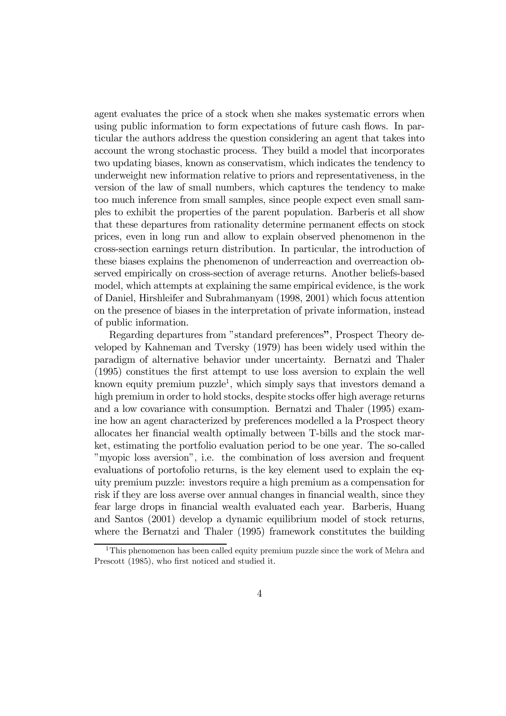agent evaluates the price of a stock when she makes systematic errors when using public information to form expectations of future cash flows. In particular the authors address the question considering an agent that takes into account the wrong stochastic process. They build a model that incorporates two updating biases, known as conservatism, which indicates the tendency to underweight new information relative to priors and representativeness, in the version of the law of small numbers, which captures the tendency to make too much inference from small samples, since people expect even small samples to exhibit the properties of the parent population. Barberis et all show that these departures from rationality determine permanent effects on stock prices, even in long run and allow to explain observed phenomenon in the cross-section earnings return distribution. In particular, the introduction of these biases explains the phenomenon of underreaction and overreaction observed empirically on cross-section of average returns. Another beliefs-based model, which attempts at explaining the same empirical evidence, is the work of Daniel, Hirshleifer and Subrahmanyam (1998, 2001) which focus attention on the presence of biases in the interpretation of private information, instead of public information.

Regarding departures from "standard preferences", Prospect Theory developed by Kahneman and Tversky (1979) has been widely used within the paradigm of alternative behavior under uncertainty. Bernatzi and Thaler (1995) constitues the first attempt to use loss aversion to explain the well known equity premium puzzle<sup>1</sup>, which simply says that investors demand a high premium in order to hold stocks, despite stocks offer high average returns and a low covariance with consumption. Bernatzi and Thaler (1995) examine how an agent characterized by preferences modelled a la Prospect theory allocates her financial wealth optimally between T-bills and the stock market, estimating the portfolio evaluation period to be one year. The so-called "myopic loss aversion", i.e. the combination of loss aversion and frequent evaluations of portofolio returns, is the key element used to explain the equity premium puzzle: investors require a high premium as a compensation for risk if they are loss averse over annual changes in financial wealth, since they fear large drops in financial wealth evaluated each year. Barberis, Huang and Santos (2001) develop a dynamic equilibrium model of stock returns, where the Bernatzi and Thaler (1995) framework constitutes the building

<sup>&</sup>lt;sup>1</sup>This phenomenon has been called equity premium puzzle since the work of Mehra and Prescott (1985), who first noticed and studied it.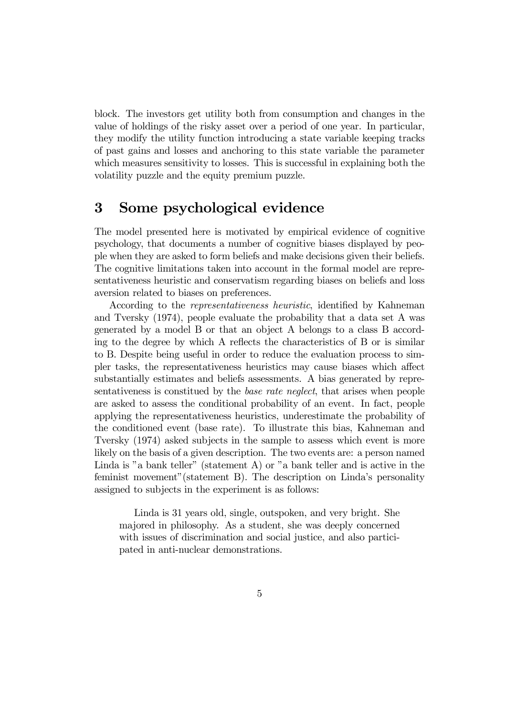block. The investors get utility both from consumption and changes in the value of holdings of the risky asset over a period of one year. In particular, they modify the utility function introducing a state variable keeping tracks of past gains and losses and anchoring to this state variable the parameter which measures sensitivity to losses. This is successful in explaining both the volatility puzzle and the equity premium puzzle.

# 3 Some psychological evidence

The model presented here is motivated by empirical evidence of cognitive psychology, that documents a number of cognitive biases displayed by people when they are asked to form beliefs and make decisions given their beliefs. The cognitive limitations taken into account in the formal model are representativeness heuristic and conservatism regarding biases on beliefs and loss aversion related to biases on preferences.

According to the representativeness heuristic, identified by Kahneman and Tversky (1974), people evaluate the probability that a data set A was generated by a model B or that an object A belongs to a class B according to the degree by which A reflects the characteristics of B or is similar to B. Despite being useful in order to reduce the evaluation process to simpler tasks, the representativeness heuristics may cause biases which affect substantially estimates and beliefs assessments. A bias generated by representativeness is constitued by the base rate neglect, that arises when people are asked to assess the conditional probability of an event. In fact, people applying the representativeness heuristics, underestimate the probability of the conditioned event (base rate). To illustrate this bias, Kahneman and Tversky (1974) asked subjects in the sample to assess which event is more likely on the basis of a given description. The two events are: a person named Linda is "a bank teller" (statement A) or "a bank teller and is active in the feminist movement"(statement B). The description on Linda's personality assigned to subjects in the experiment is as follows:

Linda is 31 years old, single, outspoken, and very bright. She majored in philosophy. As a student, she was deeply concerned with issues of discrimination and social justice, and also participated in anti-nuclear demonstrations.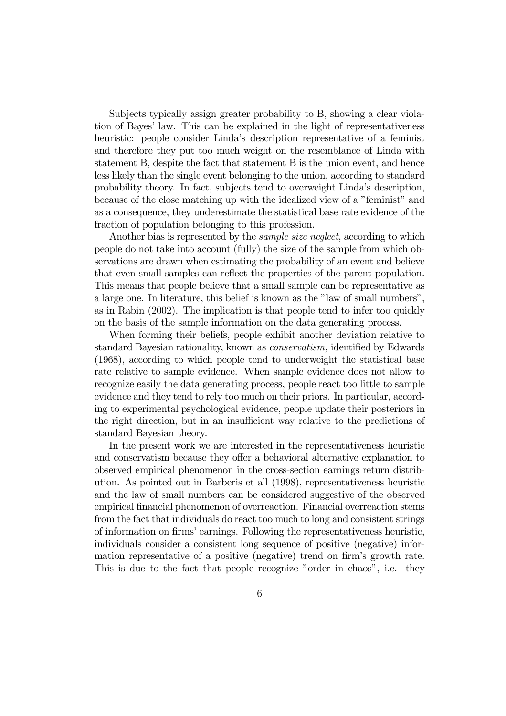Subjects typically assign greater probability to B, showing a clear violation of Bayes' law. This can be explained in the light of representativeness heuristic: people consider Linda's description representative of a feminist and therefore they put too much weight on the resemblance of Linda with statement B, despite the fact that statement B is the union event, and hence less likely than the single event belonging to the union, according to standard probability theory. In fact, subjects tend to overweight Linda's description, because of the close matching up with the idealized view of a "feminist" and as a consequence, they underestimate the statistical base rate evidence of the fraction of population belonging to this profession.

Another bias is represented by the *sample size neglect*, according to which people do not take into account (fully) the size of the sample from which observations are drawn when estimating the probability of an event and believe that even small samples can reflect the properties of the parent population. This means that people believe that a small sample can be representative as a large one. In literature, this belief is known as the "law of small numbers", as in Rabin (2002). The implication is that people tend to infer too quickly on the basis of the sample information on the data generating process.

When forming their beliefs, people exhibit another deviation relative to standard Bayesian rationality, known as conservatism, identified by Edwards (1968), according to which people tend to underweight the statistical base rate relative to sample evidence. When sample evidence does not allow to recognize easily the data generating process, people react too little to sample evidence and they tend to rely too much on their priors. In particular, according to experimental psychological evidence, people update their posteriors in the right direction, but in an insufficient way relative to the predictions of standard Bayesian theory.

In the present work we are interested in the representativeness heuristic and conservatism because they offer a behavioral alternative explanation to observed empirical phenomenon in the cross-section earnings return distribution. As pointed out in Barberis et all (1998), representativeness heuristic and the law of small numbers can be considered suggestive of the observed empirical financial phenomenon of overreaction. Financial overreaction stems from the fact that individuals do react too much to long and consistent strings of information on firms' earnings. Following the representativeness heuristic, individuals consider a consistent long sequence of positive (negative) information representative of a positive (negative) trend on firm's growth rate. This is due to the fact that people recognize "order in chaos", i.e. they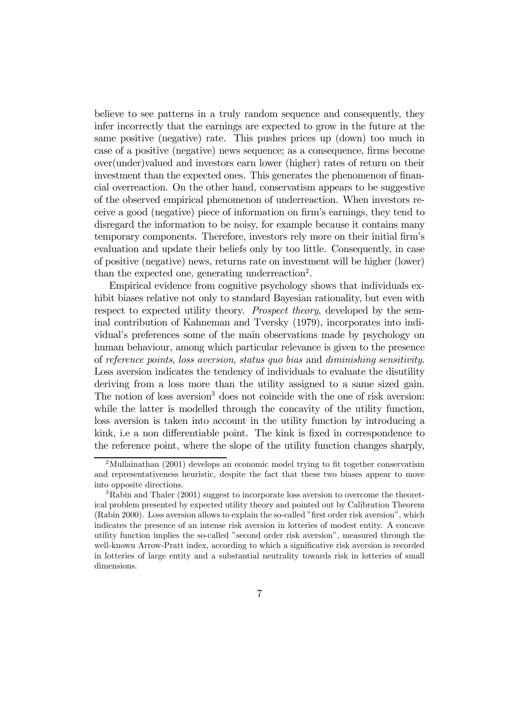believe to see patterns in a truly random sequence and consequently, they infer incorrectly that the earnings are expected to grow in the future at the same positive (negative) rate. This pushes prices up (down) too much in case of a positive (negative) news sequence; as a consequence, firms become over(under)valued and investors earn lower (higher) rates of return on their investment than the expected ones. This generates the phenomenon of financial overreaction. On the other hand, conservatism appears to be suggestive of the observed empirical phenomenon of underreaction. When investors receive a good (negative) piece of information on firm's earnings, they tend to disregard the information to be noisy, for example because it contains many temporary components. Therefore, investors rely more on their initial firm's evaluation and update their beliefs only by too little. Consequently, in case of positive (negative) news, returns rate on investment will be higher (lower) than the expected one, generating underreaction<sup>2</sup>.

Empirical evidence from cognitive psychology shows that individuals exhibit biases relative not only to standard Bayesian rationality, but even with respect to expected utility theory. *Prospect theory*, developed by the seminal contribution of Kahneman and Tversky (1979), incorporates into individual's preferences some of the main observations made by psychology on human behaviour, among which particular relevance is given to the presence of reference points, loss aversion, status quo bias and diminishing sensitivity. Loss aversion indicates the tendency of individuals to evaluate the disutility deriving from a loss more than the utility assigned to a same sized gain. The notion of loss aversion<sup>3</sup> does not coincide with the one of risk aversion: while the latter is modelled through the concavity of the utility function, loss aversion is taken into account in the utility function by introducing a kink, i.e a non differentiable point. The kink is fixed in correspondence to the reference point, where the slope of the utility function changes sharply,

<sup>&</sup>lt;sup>2</sup>Mullainathan (2001) develops an economic model trying to fit together conservatism and representativeness heuristic, despite the fact that these two biases appear to move into opposite directions.

<sup>3</sup>Rabin and Thaler (2001) suggest to incorporate loss aversion to overcome the theoretical problem presented by expected utility theory and pointed out by Calibration Theorem (Rabin 2000). Loss aversion allows to explain the so-called "first order risk aversion", which indicates the presence of an intense risk aversion in lotteries of modest entity. A concave utility function implies the so-called "second order risk aversion", measured through the well-known Arrow-Pratt index, according to which a significative risk aversion is recorded in lotteries of large entity and a substantial neutrality towards risk in lotteries of small dimensions.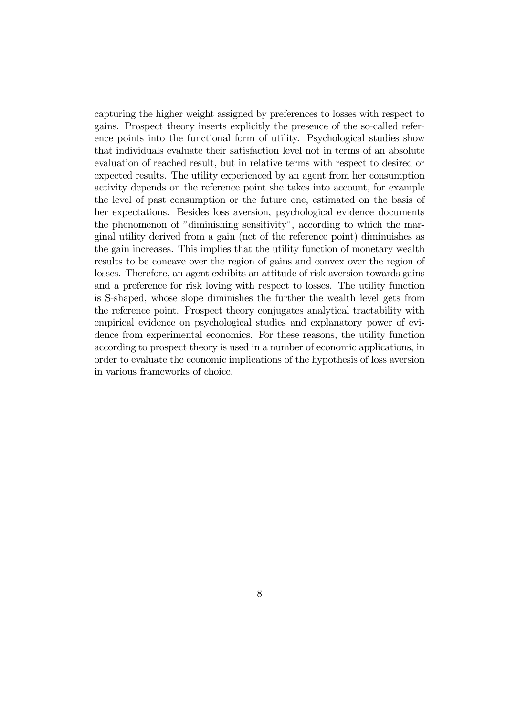capturing the higher weight assigned by preferences to losses with respect to gains. Prospect theory inserts explicitly the presence of the so-called reference points into the functional form of utility. Psychological studies show that individuals evaluate their satisfaction level not in terms of an absolute evaluation of reached result, but in relative terms with respect to desired or expected results. The utility experienced by an agent from her consumption activity depends on the reference point she takes into account, for example the level of past consumption or the future one, estimated on the basis of her expectations. Besides loss aversion, psychological evidence documents the phenomenon of "diminishing sensitivity", according to which the marginal utility derived from a gain (net of the reference point) diminuishes as the gain increases. This implies that the utility function of monetary wealth results to be concave over the region of gains and convex over the region of losses. Therefore, an agent exhibits an attitude of risk aversion towards gains and a preference for risk loving with respect to losses. The utility function is S-shaped, whose slope diminishes the further the wealth level gets from the reference point. Prospect theory conjugates analytical tractability with empirical evidence on psychological studies and explanatory power of evidence from experimental economics. For these reasons, the utility function according to prospect theory is used in a number of economic applications, in order to evaluate the economic implications of the hypothesis of loss aversion in various frameworks of choice.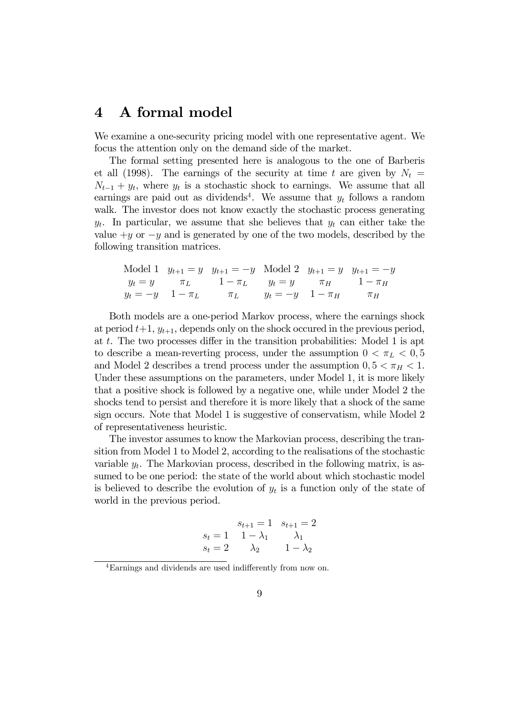### 4 A formal model

We examine a one-security pricing model with one representative agent. We focus the attention only on the demand side of the market.

The formal setting presented here is analogous to the one of Barberis et all (1998). The earnings of the security at time t are given by  $N_t =$  $N_{t-1} + y_t$ , where  $y_t$  is a stochastic shock to earnings. We assume that all earnings are paid out as dividends<sup>4</sup>. We assume that  $y_t$  follows a random walk. The investor does not know exactly the stochastic process generating  $y_t$ . In particular, we assume that she believes that  $y_t$  can either take the value  $+y$  or  $-y$  and is generated by one of the two models, described by the following transition matrices.

Model 1 
$$
y_{t+1} = y
$$
  $y_{t+1} = -y$  Model 2  $y_{t+1} = y$   $y_{t+1} = -y$   
\n $y_t = y$   $\pi_L$   $1 - \pi_L$   $y_t = y$   $\pi_H$   $1 - \pi_H$   
\n $y_t = -y$   $1 - \pi_L$   $\pi_L$   $y_t = -y$   $1 - \pi_H$   $\pi_H$ 

Both models are a one-period Markov process, where the earnings shock at period  $t+1$ ,  $y_{t+1}$ , depends only on the shock occured in the previous period, at t. The two processes differ in the transition probabilities: Model 1 is apt to describe a mean-reverting process, under the assumption  $0 < \pi_L < 0.5$ and Model 2 describes a trend process under the assumption  $0, 5 < \pi_H < 1$ . Under these assumptions on the parameters, under Model 1, it is more likely that a positive shock is followed by a negative one, while under Model 2 the shocks tend to persist and therefore it is more likely that a shock of the same sign occurs. Note that Model 1 is suggestive of conservatism, while Model 2 of representativeness heuristic.

The investor assumes to know the Markovian process, describing the transition from Model 1 to Model 2, according to the realisations of the stochastic variable  $y_t$ . The Markovian process, described in the following matrix, is assumed to be one period: the state of the world about which stochastic model is believed to describe the evolution of  $y_t$  is a function only of the state of world in the previous period.

$$
s_{t+1} = 1 \quad s_{t+1} = 2
$$
  
\n
$$
s_t = 1 \quad 1 - \lambda_1 \qquad \lambda_1
$$
  
\n
$$
s_t = 2 \qquad \lambda_2 \qquad 1 - \lambda_2
$$

<sup>4</sup>Earnings and dividends are used indifferently from now on.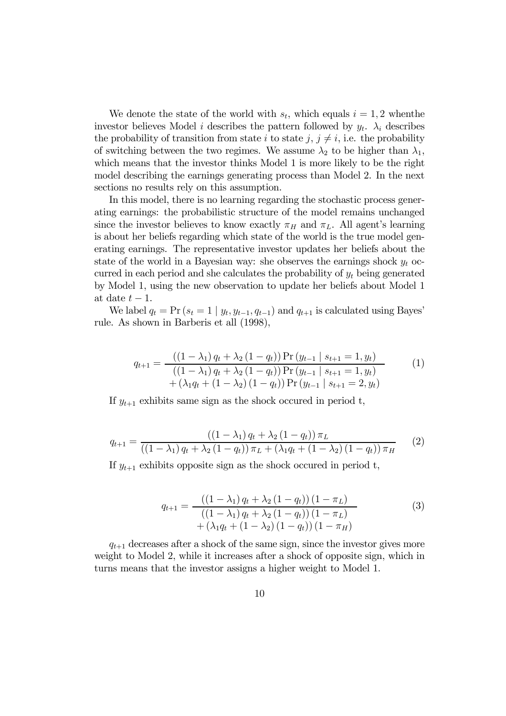We denote the state of the world with  $s_t$ , which equals  $i = 1, 2$  when the investor believes Model *i* describes the pattern followed by  $y_t$ .  $\lambda_i$  describes the probability of transition from state i to state j,  $j \neq i$ , i.e. the probability of switching between the two regimes. We assume  $\lambda_2$  to be higher than  $\lambda_1$ , which means that the investor thinks Model 1 is more likely to be the right model describing the earnings generating process than Model 2. In the next sections no results rely on this assumption.

In this model, there is no learning regarding the stochastic process generating earnings: the probabilistic structure of the model remains unchanged since the investor believes to know exactly  $\pi_H$  and  $\pi_L$ . All agent's learning is about her beliefs regarding which state of the world is the true model generating earnings. The representative investor updates her beliefs about the state of the world in a Bayesian way: she observes the earnings shock  $y_t$  occurred in each period and she calculates the probability of  $y_t$  being generated by Model 1, using the new observation to update her beliefs about Model 1 at date  $t-1$ .

We label  $q_t = \Pr(s_t = 1 | y_t, y_{t-1}, q_{t-1})$  and  $q_{t+1}$  is calculated using Bayes' rule. As shown in Barberis et all (1998),

$$
q_{t+1} = \frac{((1 - \lambda_1) q_t + \lambda_2 (1 - q_t)) \Pr(y_{t-1} | s_{t+1} = 1, y_t)}{((1 - \lambda_1) q_t + \lambda_2 (1 - q_t)) \Pr(y_{t-1} | s_{t+1} = 1, y_t)} + (\lambda_1 q_t + (1 - \lambda_2) (1 - q_t)) \Pr(y_{t-1} | s_{t+1} = 2, y_t)
$$
\n(1)

If  $y_{t+1}$  exhibits same sign as the shock occured in period t,

$$
q_{t+1} = \frac{((1 - \lambda_1) q_t + \lambda_2 (1 - q_t)) \pi_L}{((1 - \lambda_1) q_t + \lambda_2 (1 - q_t)) \pi_L + (\lambda_1 q_t + (1 - \lambda_2) (1 - q_t)) \pi_H}
$$
(2)

If  $y_{t+1}$  exhibits opposite sign as the shock occured in period t,

$$
q_{t+1} = \frac{((1 - \lambda_1) q_t + \lambda_2 (1 - q_t)) (1 - \pi_L)}{((1 - \lambda_1) q_t + \lambda_2 (1 - q_t)) (1 - \pi_L)} + (\lambda_1 q_t + (1 - \lambda_2) (1 - q_t)) (1 - \pi_H)
$$
\n(3)

 $q_{t+1}$  decreases after a shock of the same sign, since the investor gives more weight to Model 2, while it increases after a shock of opposite sign, which in turns means that the investor assigns a higher weight to Model 1.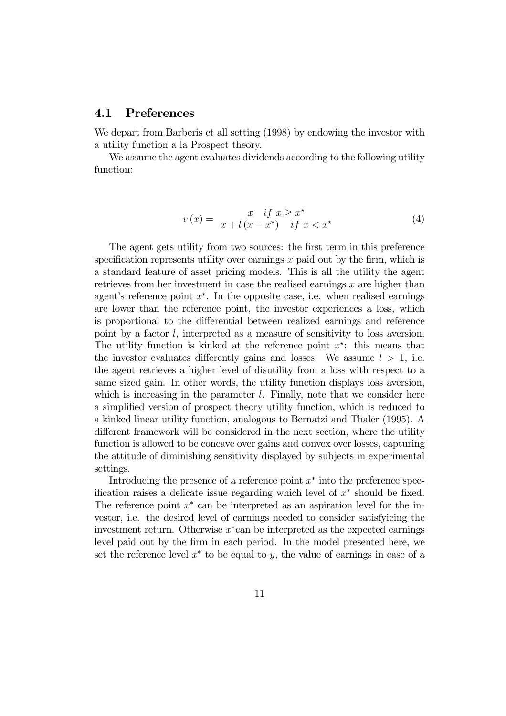### 4.1 Preferences

We depart from Barberis et all setting (1998) by endowing the investor with a utility function a la Prospect theory.

We assume the agent evaluates dividends according to the following utility function:

$$
v(x) = \begin{cases} x & \text{if } x \geq x^* \\ x + l(x - x^*) & \text{if } x < x^* \end{cases} \tag{4}
$$

The agent gets utility from two sources: the first term in this preference specification represents utility over earnings  $x$  paid out by the firm, which is a standard feature of asset pricing models. This is all the utility the agent retrieves from her investment in case the realised earnings  $x$  are higher than agent's reference point  $x^*$ . In the opposite case, i.e. when realised earnings are lower than the reference point, the investor experiences a loss, which is proportional to the differential between realized earnings and reference point by a factor l, interpreted as a measure of sensitivity to loss aversion. The utility function is kinked at the reference point  $x^*$ : this means that the investor evaluates differently gains and losses. We assume  $l > 1$ , i.e. the agent retrieves a higher level of disutility from a loss with respect to a same sized gain. In other words, the utility function displays loss aversion, which is increasing in the parameter  $l$ . Finally, note that we consider here a simplified version of prospect theory utility function, which is reduced to a kinked linear utility function, analogous to Bernatzi and Thaler (1995). A different framework will be considered in the next section, where the utility function is allowed to be concave over gains and convex over losses, capturing the attitude of diminishing sensitivity displayed by subjects in experimental settings.

Introducing the presence of a reference point  $x^*$  into the preference specification raises a delicate issue regarding which level of  $x^*$  should be fixed. The reference point  $x^*$  can be interpreted as an aspiration level for the investor, i.e. the desired level of earnings needed to consider satisfyicing the investment return. Otherwise  $x<sup>*</sup>$  can be interpreted as the expected earnings level paid out by the firm in each period. In the model presented here, we set the reference level  $x^*$  to be equal to y, the value of earnings in case of a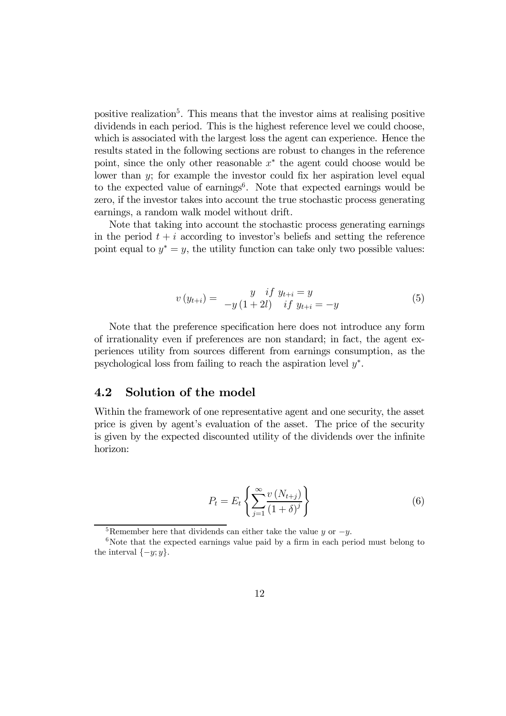positive realization<sup>5</sup>. This means that the investor aims at realising positive dividends in each period. This is the highest reference level we could choose, which is associated with the largest loss the agent can experience. Hence the results stated in the following sections are robust to changes in the reference point, since the only other reasonable  $x^*$  the agent could choose would be lower than  $y$ ; for example the investor could fix her aspiration level equal to the expected value of earnings<sup>6</sup>. Note that expected earnings would be zero, if the investor takes into account the true stochastic process generating earnings, a random walk model without drift.

Note that taking into account the stochastic process generating earnings in the period  $t + i$  according to investor's beliefs and setting the reference point equal to  $y^* = y$ , the utility function can take only two possible values:

$$
v(y_{t+i}) = \frac{y}{-y(1+2l)} \quad \text{if } y_{t+i} = -y \tag{5}
$$
\n
$$
(5)
$$

Note that the preference specification here does not introduce any form of irrationality even if preferences are non standard; in fact, the agent experiences utility from sources different from earnings consumption, as the psychological loss from failing to reach the aspiration level  $y^*$ .

### 4.2 Solution of the model

Within the framework of one representative agent and one security, the asset price is given by agent's evaluation of the asset. The price of the security is given by the expected discounted utility of the dividends over the infinite horizon:

$$
P_t = E_t \left\{ \sum_{j=1}^{\infty} \frac{v (N_{t+j})}{(1+\delta)^j} \right\}
$$
 (6)

<sup>&</sup>lt;sup>5</sup>Remember here that dividends can either take the value y or  $-y$ .<br><sup>6</sup>Note that the expected earnings value paid by a firm in each period must belong to the interval  $\{-y; y\}.$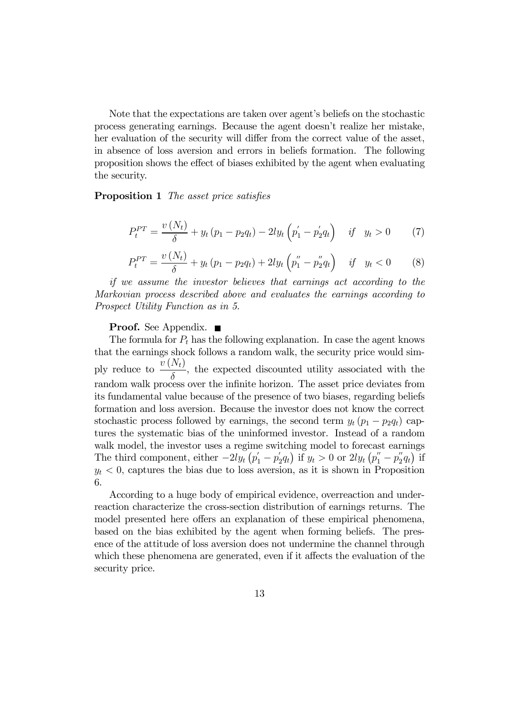Note that the expectations are taken over agent's beliefs on the stochastic process generating earnings. Because the agent doesn't realize her mistake, her evaluation of the security will differ from the correct value of the asset, in absence of loss aversion and errors in beliefs formation. The following proposition shows the effect of biases exhibited by the agent when evaluating the security.

Proposition 1 The asset price satisfies

$$
P_t^{PT} = \frac{v(N_t)}{\delta} + y_t (p_1 - p_2 q_t) - 2ly_t (p_1' - p_2' q_t) \quad \text{if} \quad y_t > 0 \tag{7}
$$

$$
P_t^{PT} = \frac{v(N_t)}{\delta} + y_t (p_1 - p_2 q_t) + 2ly_t \left( p_1'' - p_2'' q_t \right) \quad \text{if} \quad y_t < 0 \tag{8}
$$

if we assume the investor believes that earnings act according to the Markovian process described above and evaluates the earnings according to Prospect Utility Function as in 5.

#### **Proof.** See Appendix. ■

The formula for  $P_t$  has the following explanation. In case the agent knows that the earnings shock follows a random walk, the security price would simply reduce to  $\frac{v(N_t)}{s}$  $\frac{\partial^2 u}{\partial \delta}$ , the expected discounted utility associated with the random walk process over the infinite horizon. The asset price deviates from its fundamental value because of the presence of two biases, regarding beliefs formation and loss aversion. Because the investor does not know the correct stochastic process followed by earnings, the second term  $y_t$   $(p_1 - p_2q_t)$  captures the systematic bias of the uninformed investor. Instead of a random walk model, the investor uses a regime switching model to forecast earnings The third component, either  $-2ly_t(p'_1-p'_2q_t)$  if  $y_t > 0$  or  $2ly_t(p''_1-p''_2q_t)$  if  $y_t < 0$ , captures the bias due to loss aversion, as it is shown in Proposition 6.

According to a huge body of empirical evidence, overreaction and underreaction characterize the cross-section distribution of earnings returns. The model presented here offers an explanation of these empirical phenomena, based on the bias exhibited by the agent when forming beliefs. The presence of the attitude of loss aversion does not undermine the channel through which these phenomena are generated, even if it affects the evaluation of the security price.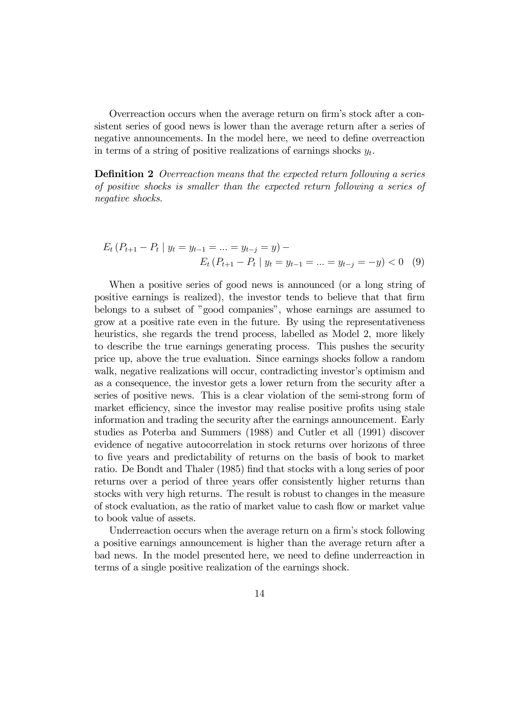Overreaction occurs when the average return on firm's stock after a consistent series of good news is lower than the average return after a series of negative announcements. In the model here, we need to define overreaction in terms of a string of positive realizations of earnings shocks  $y_t$ .

Definition 2 Overreaction means that the expected return following a series of positive shocks is smaller than the expected return following a series of negative shocks.

$$
E_t (P_{t+1} - P_t | y_t = y_{t-1} = \dots = y_{t-j} = y) -
$$
  

$$
E_t (P_{t+1} - P_t | y_t = y_{t-1} = \dots = y_{t-j} = -y) < 0 \quad (9)
$$

When a positive series of good news is announced (or a long string of positive earnings is realized), the investor tends to believe that that firm belongs to a subset of "good companies", whose earnings are assumed to grow at a positive rate even in the future. By using the representativeness heuristics, she regards the trend process, labelled as Model 2, more likely to describe the true earnings generating process. This pushes the security price up, above the true evaluation. Since earnings shocks follow a random walk, negative realizations will occur, contradicting investor's optimism and as a consequence, the investor gets a lower return from the security after a series of positive news. This is a clear violation of the semi-strong form of market efficiency, since the investor may realise positive profits using stale information and trading the security after the earnings announcement. Early studies as Poterba and Summers (1988) and Cutler et all (1991) discover evidence of negative autocorrelation in stock returns over horizons of three to five years and predictability of returns on the basis of book to market ratio. De Bondt and Thaler (1985) find that stocks with a long series of poor returns over a period of three years offer consistently higher returns than stocks with very high returns. The result is robust to changes in the measure of stock evaluation, as the ratio of market value to cash flow or market value to book value of assets.

Underreaction occurs when the average return on a firm's stock following a positive earnings announcement is higher than the average return after a bad news. In the model presented here, we need to define underreaction in terms of a single positive realization of the earnings shock.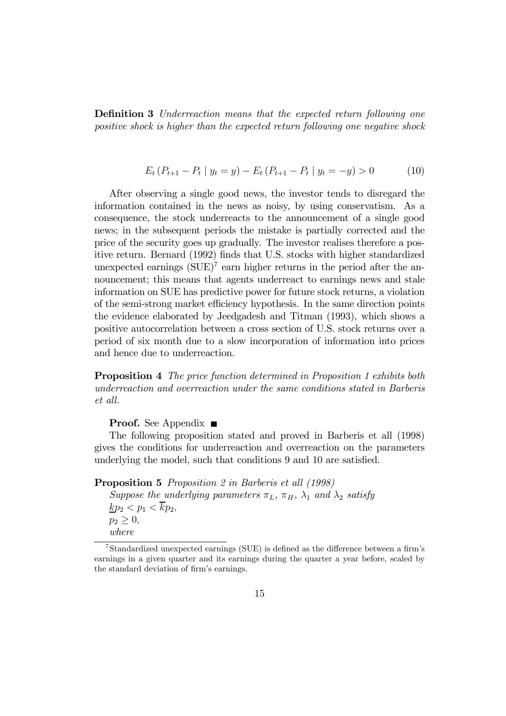Definition 3 Underreaction means that the expected return following one positive shock is higher than the expected return following one negative shock

$$
E_t (P_{t+1} - P_t | y_t = y) - E_t (P_{t+1} - P_t | y_t = -y) > 0
$$
 (10)

After observing a single good news, the investor tends to disregard the information contained in the news as noisy, by using conservatism. As a consequence, the stock underreacts to the announcement of a single good news; in the subsequent periods the mistake is partially corrected and the price of the security goes up gradually. The investor realises therefore a positive return. Bernard (1992) finds that U.S. stocks with higher standardized unexpected earnings  $(SUE)^7$  earn higher returns in the period after the announcement; this means that agents underreact to earnings news and stale information on SUE has predictive power for future stock returns, a violation of the semi-strong market efficiency hypothesis. In the same direction points the evidence elaborated by Jeedgadesh and Titman (1993), which shows a positive autocorrelation between a cross section of U.S. stock returns over a period of six month due to a slow incorporation of information into prices and hence due to underreaction.

Proposition 4 The price function determined in Proposition 1 exhibits both underreaction and overreaction under the same conditions stated in Barberis et all.

Proof. See Appendix ■

The following proposition stated and proved in Barberis et all (1998) gives the conditions for underreaction and overreaction on the parameters underlying the model, such that conditions 9 and 10 are satisfied.

Proposition 5 Proposition 2 in Barberis et all (1998)

Suppose the underlying parameters  $\pi_L$ ,  $\pi_H$ ,  $\lambda_1$  and  $\lambda_2$  satisfy  $\underline{kp_2} < p_1 < \overline{k}p_2$ ,  $p_2 \geq 0$ , where

<sup>7</sup>Standardized unexpected earnings (SUE) is defined as the difference between a firm's earnings in a given quarter and its earnings during the quarter a year before, scaled by the standard deviation of firm's earnings.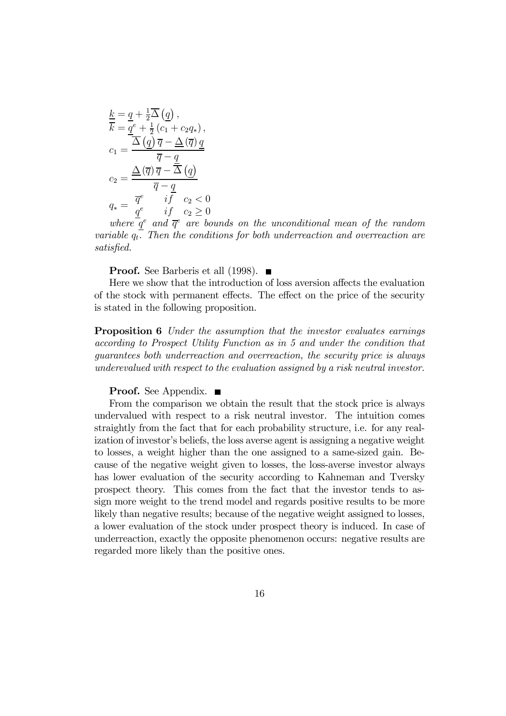$$
\frac{k}{k} = \underline{q} + \frac{1}{2}\overline{\Delta}(\underline{q}),
$$
\n
$$
\overline{k} = \underline{q}^{e} + \frac{1}{2}(c_{1} + c_{2}q_{*}),
$$
\n
$$
c_{1} = \frac{\overline{\Delta}(\underline{q})\,\overline{q} - \underline{\Delta}(\overline{q})\,\underline{q}}{\overline{q} - \underline{q}}
$$
\n
$$
c_{2} = \frac{\underline{\Delta}(\overline{q})\,\overline{q} - \overline{\Delta}(\underline{q})}{\overline{q} - \underline{q}}
$$
\n
$$
q_{*} = \frac{\overline{q}^{e}}{\underline{q}^{e}} \quad \begin{array}{c} i\overline{f} & c_{2} < 0 \\ i\overline{f} & c_{2} \geq 0 \end{array}
$$

where  $\overline{q}^e$  and  $\overline{q}^e$  are bounds on the unconditional mean of the random variable  $q_t$ . Then the conditions for both underreaction and overreaction are satisfied.

**Proof.** See Barberis et all (1998).  $\blacksquare$ 

Here we show that the introduction of loss aversion affects the evaluation of the stock with permanent effects. The effect on the price of the security is stated in the following proposition.

**Proposition 6** Under the assumption that the investor evaluates earnings according to Prospect Utility Function as in 5 and under the condition that guarantees both underreaction and overreaction, the security price is always underevalued with respect to the evaluation assigned by a risk neutral investor.

#### **Proof.** See Appendix. ■

From the comparison we obtain the result that the stock price is always undervalued with respect to a risk neutral investor. The intuition comes straightly from the fact that for each probability structure, i.e. for any realization of investor's beliefs, the loss averse agent is assigning a negative weight to losses, a weight higher than the one assigned to a same-sized gain. Because of the negative weight given to losses, the loss-averse investor always has lower evaluation of the security according to Kahneman and Tversky prospect theory. This comes from the fact that the investor tends to assign more weight to the trend model and regards positive results to be more likely than negative results; because of the negative weight assigned to losses, a lower evaluation of the stock under prospect theory is induced. In case of underreaction, exactly the opposite phenomenon occurs: negative results are regarded more likely than the positive ones.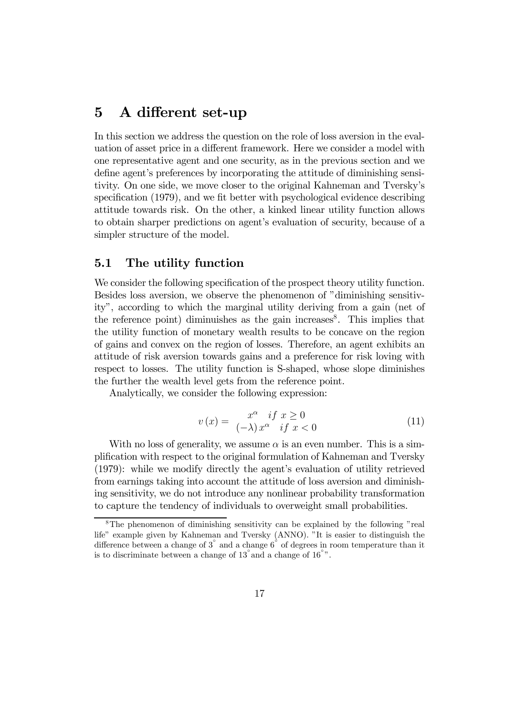# 5 A different set-up

In this section we address the question on the role of loss aversion in the evaluation of asset price in a different framework. Here we consider a model with one representative agent and one security, as in the previous section and we define agent's preferences by incorporating the attitude of diminishing sensitivity. On one side, we move closer to the original Kahneman and Tversky's specification (1979), and we fit better with psychological evidence describing attitude towards risk. On the other, a kinked linear utility function allows to obtain sharper predictions on agent's evaluation of security, because of a simpler structure of the model.

### 5.1 The utility function

We consider the following specification of the prospect theory utility function. Besides loss aversion, we observe the phenomenon of "diminishing sensitivity", according to which the marginal utility deriving from a gain (net of the reference point) diminuishes as the gain increases<sup>8</sup>. This implies that the utility function of monetary wealth results to be concave on the region of gains and convex on the region of losses. Therefore, an agent exhibits an attitude of risk aversion towards gains and a preference for risk loving with respect to losses. The utility function is S-shaped, whose slope diminishes the further the wealth level gets from the reference point.

Analytically, we consider the following expression:

$$
v(x) = \frac{x^{\alpha} \quad \text{if } x \ge 0}{(-\lambda) x^{\alpha} \quad \text{if } x < 0} \tag{11}
$$

With no loss of generality, we assume  $\alpha$  is an even number. This is a simplification with respect to the original formulation of Kahneman and Tversky (1979): while we modify directly the agent's evaluation of utility retrieved from earnings taking into account the attitude of loss aversion and diminishing sensitivity, we do not introduce any nonlinear probability transformation to capture the tendency of individuals to overweight small probabilities.

<sup>8</sup>The phenomenon of diminishing sensitivity can be explained by the following "real life" example given by Kahneman and Tversky (ANNO). "It is easier to distinguish the difference between a change of  $3^{\circ}$  and a change  $6^{\circ}$  of degrees in room temperature than it is to discriminate between a change of  $13°$  and a change of  $16°$ <sup>o</sup>.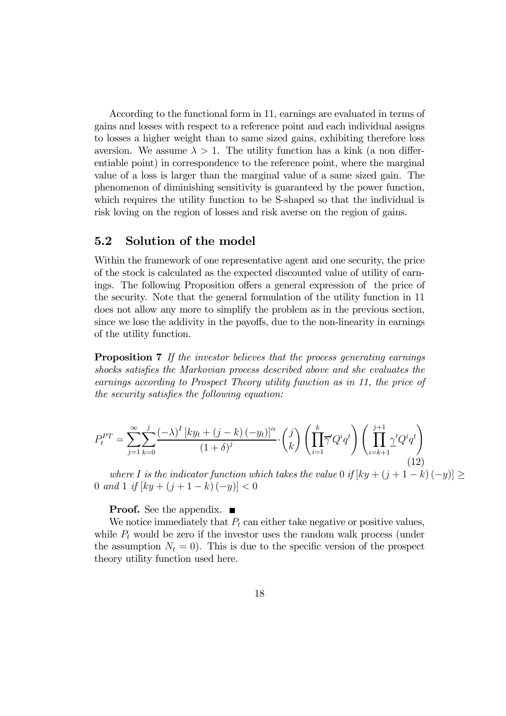According to the functional form in 11, earnings are evaluated in terms of gains and losses with respect to a reference point and each individual assigns to losses a higher weight than to same sized gains, exhibiting therefore loss aversion. We assume  $\lambda > 1$ . The utility function has a kink (a non differentiable point) in correspondence to the reference point, where the marginal value of a loss is larger than the marginal value of a same sized gain. The phenomenon of diminishing sensitivity is guaranteed by the power function, which requires the utility function to be S-shaped so that the individual is risk loving on the region of losses and risk averse on the region of gains.

### 5.2 Solution of the model

Within the framework of one representative agent and one security, the price of the stock is calculated as the expected discounted value of utility of earnings. The following Proposition offers a general expression of the price of the security. Note that the general formulation of the utility function in 11 does not allow any more to simplify the problem as in the previous section, since we lose the addivity in the payoffs, due to the non-linearity in earnings of the utility function.

**Proposition 7** If the investor believes that the process generating earnings shocks satisfies the Markovian process described above and she evaluates the earnings according to Prospect Theory utility function as in 11, the price of the security satisfies the following equation:

$$
P_t^{PT} = \sum_{j=1}^{\infty} \sum_{k=0}^{j} \frac{(-\lambda)^I \left[ ky_t + (j-k) \left( -y_t \right) \right]^{\alpha}}{(1+\delta)^j} \cdot {j \choose k} \left( \prod_{i=1}^k \overline{\gamma}^{\prime} Q^i q^t \right) \left( \prod_{i=k+1}^{j+1} \underline{\gamma}^{\prime} Q^i q^t \right)
$$
\n(12)

where I is the indicator function which takes the value 0 if  $[ky + (j + 1 - k)(-y)] \ge$ 0 and 1 if  $[ky + (j + 1 - k) (-y)] < 0$ 

**Proof.** See the appendix.  $\blacksquare$ 

We notice immediately that  $P_t$  can either take negative or positive values, while  $P_t$  would be zero if the investor uses the random walk process (under the assumption  $N_t = 0$ . This is due to the specific version of the prospect theory utility function used here.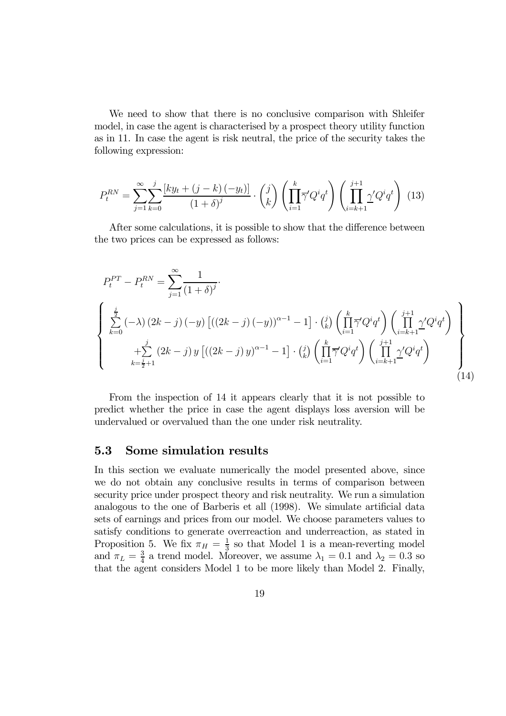We need to show that there is no conclusive comparison with Shleifer model, in case the agent is characterised by a prospect theory utility function as in 11. In case the agent is risk neutral, the price of the security takes the following expression:

$$
P_t^{RN} = \sum_{j=1}^{\infty} \sum_{k=0}^{j} \frac{\left[ky_t + (j-k)(-y_t)\right]}{(1+\delta)^j} \cdot \binom{j}{k} \left(\prod_{i=1}^{k} \overline{\gamma}' Q^i q^t\right) \left(\prod_{i=k+1}^{j+1} \underline{\gamma}' Q^i q^t\right) (13)
$$

After some calculations, it is possible to show that the difference between the two prices can be expressed as follows:

$$
P_{t}^{PT} - P_{t}^{RN} = \sum_{j=1}^{\infty} \frac{1}{(1+\delta)^{j}}.
$$
  

$$
\begin{cases} \sum_{k=0}^{j} (-\lambda) (2k-j) (-y) \left[ ((2k-j) (-y))^{\alpha-1} - 1 \right] \cdot {j \choose k} \left( \prod_{i=1}^{k} \overline{\gamma}^{\prime} Q^{i} q^{t} \right) \left( \prod_{i=k+1}^{j+1} \gamma^{\prime} Q^{i} q^{t} \right) \\ + \sum_{k=\frac{j}{2}+1}^{j} (2k-j) y \left[ ((2k-j) y)^{\alpha-1} - 1 \right] \cdot {j \choose k} \left( \prod_{i=1}^{k} \overline{\gamma}^{\prime} Q^{i} q^{t} \right) \left( \prod_{i=k+1}^{j+1} \gamma^{\prime} Q^{i} q^{t} \right) \end{cases}
$$
(14)

From the inspection of 14 it appears clearly that it is not possible to predict whether the price in case the agent displays loss aversion will be undervalued or overvalued than the one under risk neutrality.

#### 5.3 Some simulation results

In this section we evaluate numerically the model presented above, since we do not obtain any conclusive results in terms of comparison between security price under prospect theory and risk neutrality. We run a simulation analogous to the one of Barberis et all (1998). We simulate artificial data sets of earnings and prices from our model. We choose parameters values to satisfy conditions to generate overreaction and underreaction, as stated in Proposition 5. We fix  $\pi_H = \frac{1}{3}$  so that Model 1 is a mean-reverting model and  $\pi_L = \frac{3}{4}$  a trend model. Moreover, we assume  $\lambda_1 = 0.1$  and  $\lambda_2 = 0.3$  so that the agent considers Model 1 to be more likely than Model 2. Finally,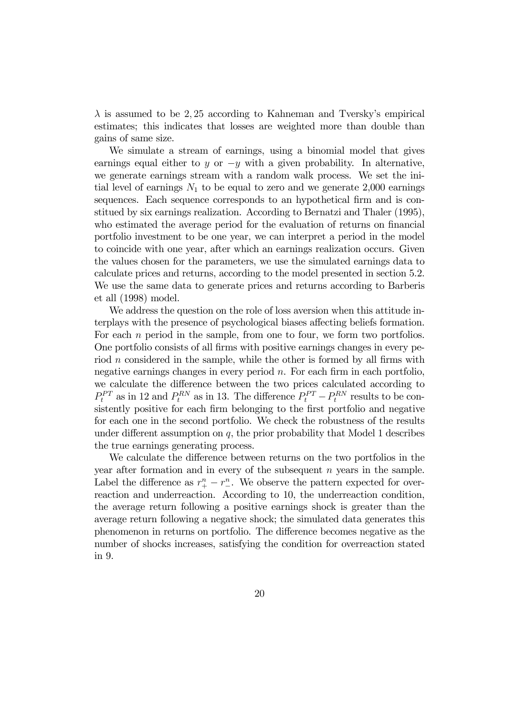$\lambda$  is assumed to be 2,25 according to Kahneman and Tversky's empirical estimates; this indicates that losses are weighted more than double than gains of same size.

We simulate a stream of earnings, using a binomial model that gives earnings equal either to y or  $-y$  with a given probability. In alternative, we generate earnings stream with a random walk process. We set the initial level of earnings  $N_1$  to be equal to zero and we generate 2,000 earnings sequences. Each sequence corresponds to an hypothetical firm and is constitued by six earnings realization. According to Bernatzi and Thaler (1995), who estimated the average period for the evaluation of returns on financial portfolio investment to be one year, we can interpret a period in the model to coincide with one year, after which an earnings realization occurs. Given the values chosen for the parameters, we use the simulated earnings data to calculate prices and returns, according to the model presented in section 5.2. We use the same data to generate prices and returns according to Barberis et all (1998) model.

We address the question on the role of loss aversion when this attitude interplays with the presence of psychological biases affecting beliefs formation. For each  $n$  period in the sample, from one to four, we form two portfolios. One portfolio consists of all firms with positive earnings changes in every period n considered in the sample, while the other is formed by all firms with negative earnings changes in every period  $n$ . For each firm in each portfolio, we calculate the difference between the two prices calculated according to  $P_t^{PT}$  as in 12 and  $P_t^{RN}$  as in 13. The difference  $P_t^{PT} - P_t^{RN}$  results to be consistently positive for each firm belonging to the first portfolio and negative for each one in the second portfolio. We check the robustness of the results under different assumption on  $q$ , the prior probability that Model 1 describes the true earnings generating process.

We calculate the difference between returns on the two portfolios in the year after formation and in every of the subsequent n years in the sample. Label the difference as  $r_{+}^{n} - r_{-}^{n}$ . We observe the pattern expected for overreaction and underreaction. According to 10, the underreaction condition, the average return following a positive earnings shock is greater than the average return following a negative shock; the simulated data generates this phenomenon in returns on portfolio. The difference becomes negative as the number of shocks increases, satisfying the condition for overreaction stated in 9.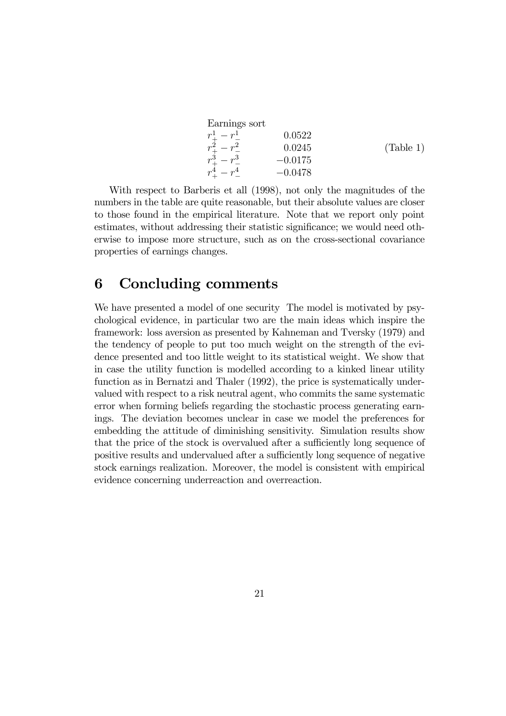| Earnings sort           |           |           |
|-------------------------|-----------|-----------|
| $r_{+}^{1}-r_{-}^{1}$   | 0.0522    |           |
| $r_{+}^{2}-r_{-}^{2}$   | 0.0245    | (Table 1) |
| $r^3 - r^3$             | $-0.0175$ |           |
| $r_{+}^{4} - r_{-}^{4}$ | $-0.0478$ |           |
|                         |           |           |

With respect to Barberis et all (1998), not only the magnitudes of the numbers in the table are quite reasonable, but their absolute values are closer to those found in the empirical literature. Note that we report only point estimates, without addressing their statistic significance; we would need otherwise to impose more structure, such as on the cross-sectional covariance properties of earnings changes.

## 6 Concluding comments

We have presented a model of one security The model is motivated by psychological evidence, in particular two are the main ideas which inspire the framework: loss aversion as presented by Kahneman and Tversky (1979) and the tendency of people to put too much weight on the strength of the evidence presented and too little weight to its statistical weight. We show that in case the utility function is modelled according to a kinked linear utility function as in Bernatzi and Thaler (1992), the price is systematically undervalued with respect to a risk neutral agent, who commits the same systematic error when forming beliefs regarding the stochastic process generating earnings. The deviation becomes unclear in case we model the preferences for embedding the attitude of diminishing sensitivity. Simulation results show that the price of the stock is overvalued after a sufficiently long sequence of positive results and undervalued after a sufficiently long sequence of negative stock earnings realization. Moreover, the model is consistent with empirical evidence concerning underreaction and overreaction.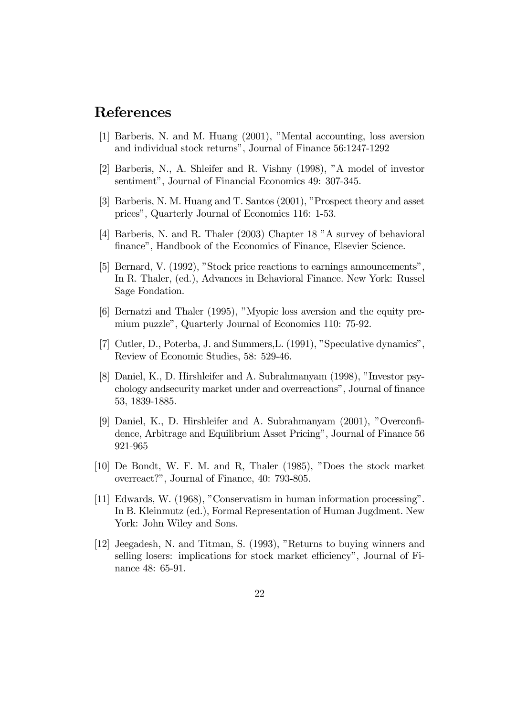# References

- [1] Barberis, N. and M. Huang (2001), "Mental accounting, loss aversion and individual stock returns", Journal of Finance 56:1247-1292
- [2] Barberis, N., A. Shleifer and R. Vishny (1998), "A model of investor sentiment", Journal of Financial Economics 49: 307-345.
- [3] Barberis, N. M. Huang and T. Santos (2001), "Prospect theory and asset prices", Quarterly Journal of Economics 116: 1-53.
- [4] Barberis, N. and R. Thaler (2003) Chapter 18 "A survey of behavioral finance", Handbook of the Economics of Finance, Elsevier Science.
- [5] Bernard, V. (1992), "Stock price reactions to earnings announcements", In R. Thaler, (ed.), Advances in Behavioral Finance. New York: Russel Sage Fondation.
- [6] Bernatzi and Thaler (1995), "Myopic loss aversion and the equity premium puzzle", Quarterly Journal of Economics 110: 75-92.
- [7] Cutler, D., Poterba, J. and Summers,L. (1991), "Speculative dynamics", Review of Economic Studies, 58: 529-46.
- [8] Daniel, K., D. Hirshleifer and A. Subrahmanyam (1998), "Investor psychology andsecurity market under and overreactions", Journal of finance 53, 1839-1885.
- [9] Daniel, K., D. Hirshleifer and A. Subrahmanyam (2001), "Overconfidence, Arbitrage and Equilibrium Asset Pricing", Journal of Finance 56 921-965
- [10] De Bondt, W. F. M. and R, Thaler (1985), "Does the stock market overreact?", Journal of Finance, 40: 793-805.
- [11] Edwards, W. (1968), "Conservatism in human information processing". In B. Kleinmutz (ed.), Formal Representation of Human Jugdment. New York: John Wiley and Sons.
- [12] Jeegadesh, N. and Titman, S. (1993), "Returns to buying winners and selling losers: implications for stock market efficiency", Journal of Finance 48: 65-91.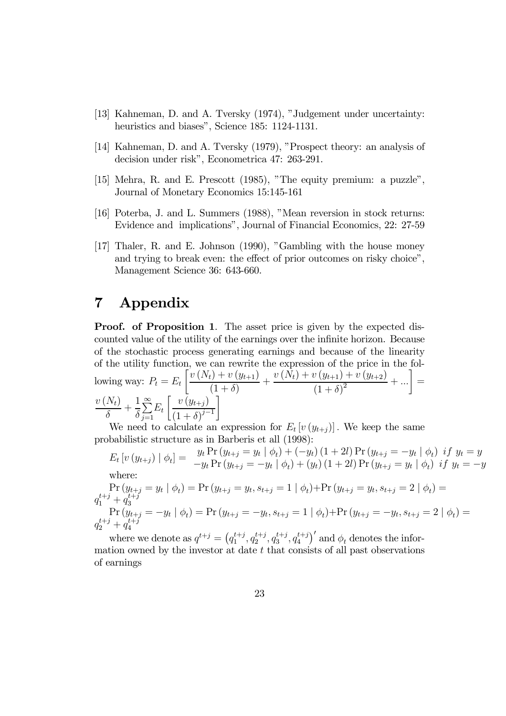- [13] Kahneman, D. and A. Tversky (1974), "Judgement under uncertainty: heuristics and biases", Science 185: 1124-1131.
- [14] Kahneman, D. and A. Tversky (1979), "Prospect theory: an analysis of decision under risk", Econometrica 47: 263-291.
- [15] Mehra, R. and E. Prescott (1985), "The equity premium: a puzzle", Journal of Monetary Economics 15:145-161
- [16] Poterba, J. and L. Summers (1988), "Mean reversion in stock returns: Evidence and implications", Journal of Financial Economics, 22: 27-59
- [17] Thaler, R. and E. Johnson (1990), "Gambling with the house money and trying to break even: the effect of prior outcomes on risky choice", Management Science 36: 643-660.

# 7 Appendix

**Proof.** of Proposition 1. The asset price is given by the expected discounted value of the utility of the earnings over the infinite horizon. Because of the stochastic process generating earnings and because of the linearity of the utility function, we can rewrite the expression of the price in the following way:  $P_t = E_t$  $\int v (N_t) + v (y_{t+1})$  $\frac{(1+\delta)}{(1+\delta)} +$  $v(N_t) + v(y_{t+1}) + v(y_{t+2})$  $\frac{y(y_{t+1}) + v(y_{t+2})}{(1 + \delta)^2} + ...$  =  $v\left(N_t\right)$  $rac{\lambda}{\delta}$  + 1  $\delta$  $\sum_{i=1}^{\infty}$  $j=1$  $E_t$  $\int v(y_{t+j})$  $(1 + \delta)^{j-1}$ ¸

We need to calculate an expression for  $E_t\left[v\left(y_{t+j}\right)\right]$ . We keep the same probabilistic structure as in Barberis et all (1998):

 $E_t \left[ v\left( y_{t+j} \right) \mid \phi_t \right] = \begin{array}{ll} y_t \Pr \left( y_{t+j} = y_t \mid \phi_t \right) + \left( -y_t \right) \left( 1 + 2l \right) \Pr \left( y_{t+j} = -y_t \mid \phi_t \right) \; if \; y_t = y_t \ -y_t \Pr \left( y_{t+j} = -y_t \mid \phi_t \right) + \left( y_t \right) \left( 1 + 2l \right) \Pr \left( y_{t+j} = y_t \mid \phi_t \right) \; if \; y_t = -y_t \end{array}$ where:

$$
\Pr(y_{t+j} = y_t | \phi_t) = \Pr(y_{t+j} = y_t, s_{t+j} = 1 | \phi_t) + \Pr(y_{t+j} = y_t, s_{t+j} = 2 | \phi_t) =
$$
\n
$$
q_1^{t+j} + q_3^{t+j}
$$
\n
$$
\Pr(y_{t+j} = -y_t | \phi_t) = \Pr(y_{t+j} = -y_t, s_{t+j} = 1 | \phi_t) + \Pr(y_{t+j} = -y_t, s_{t+j} = 2 | \phi_t) =
$$
\n
$$
q_2^{t+j} + q_4^{t+j}
$$

where we denote as  $q^{t+j} = (q_1^{t+j}, q_2^{t+j}, q_3^{t+j}, q_4^{t+j})$  $\binom{t+j}{4}^{\prime}$  and  $\phi_t$  denotes the information owned by the investor at date  $t$  that consists of all past observations of earnings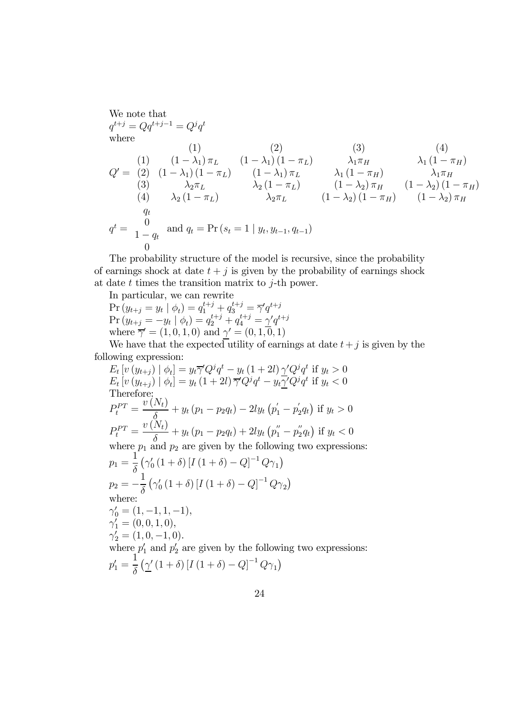We note that  
\n
$$
q^{t+j} = Qq^{t+j-1} = Q^j q^t
$$
  
\nwhere  
\n(1) (1) (2) (3) (4)  
\n $Q' = \begin{pmatrix} 1 & (1 - \lambda_1) \pi_L & (1 - \lambda_1)(1 - \pi_L) & \lambda_1 \pi_H & \lambda_1 (1 - \pi_H) \\ 2 & (1 - \lambda_1)(1 - \pi_L) & (1 - \lambda_1) \pi_L & \lambda_1 (1 - \pi_H) & \lambda_1 \pi_H \\ 3 & \lambda_2 \pi_L & \lambda_2 (1 - \pi_L) & (1 - \lambda_2) \pi_H & (1 - \lambda_2)(1 - \pi_H) \\ 4 & \lambda_2 (1 - \pi_L) & \lambda_2 \pi_L & (1 - \lambda_2)(1 - \pi_H) & (1 - \lambda_2) \pi_H \\ q_t & q^t = \begin{pmatrix} 0 & \text{and } q_t = \Pr(s_t = 1 \mid y_t, y_{t-1}, q_{t-1}) \\ 0 & 0 & 0 \end{pmatrix}$ 

The probability structure of the model is recursive, since the probability of earnings shock at date  $t + j$  is given by the probability of earnings shock at date  $t$  times the transition matrix to  $j$ -th power.

In particular, we can rewrite

$$
\Pr(y_{t+j} = y_t | \phi_t) = q_1^{t+j} + q_3^{t+j} = \overline{\gamma}' q^{t+j}
$$
\n
$$
\Pr(y_{t+j} = -y_t | \phi_t) = q_2^{t+j} + q_4^{t+j} = \gamma' q^{t+j}
$$
\nwhere  $\overline{\gamma}' = (1, 0, 1, 0)$  and  $\gamma' = (0, 1, 0, 1)$ 

We have that the expected utility of earnings at date  $t+j$  is given by the following expression:

$$
E_t[v(y_{t+j}) | \phi_t] = y_t \overline{\gamma'} Q^j q^t - y_t (1+2l) \gamma' Q^j q^t \text{ if } y_t > 0
$$
  
\n
$$
E_t[v(y_{t+j}) | \phi_t] = y_t (1+2l) \overline{\gamma'} Q^j q^t - y_t \gamma' Q^j q^t \text{ if } y_t < 0
$$
  
\nTherefore:  
\n
$$
P_t^{PT} = \frac{v(N_t)}{\delta} + y_t (p_1 - p_2 q_t) - 2ly_t (p'_1 - p'_2 q_t) \text{ if } y_t > 0
$$
  
\n
$$
P_t^{PT} = \frac{v(N_t)}{\delta} + y_t (p_1 - p_2 q_t) + 2ly_t (p''_1 - p''_2 q_t) \text{ if } y_t < 0
$$
  
\nwhere  $p_1$  and  $p_2$  are given by the following two expressions:  
\n
$$
p_1 = \frac{1}{\delta} (\gamma'_0 (1+\delta) [I(1+\delta) - Q]^{-1} Q \gamma_1)
$$
  
\n
$$
p_2 = -\frac{1}{\delta} (\gamma'_0 (1+\delta) [I(1+\delta) - Q]^{-1} Q \gamma_2)
$$
  
\nwhere:  
\n
$$
\gamma'_0 = (1, -1, 1, -1),
$$
  
\n
$$
\gamma'_1 = (0, 0, 1, 0),
$$
  
\n
$$
\gamma'_2 = (1, 0, -1, 0).
$$
  
\nwhere  $p'_1$  and  $p'_2$  are given by the following two expressions:  
\n
$$
p'_1 = \frac{1}{\delta} (\gamma' (1+\delta) [I(1+\delta) - Q]^{-1} Q \gamma_1)
$$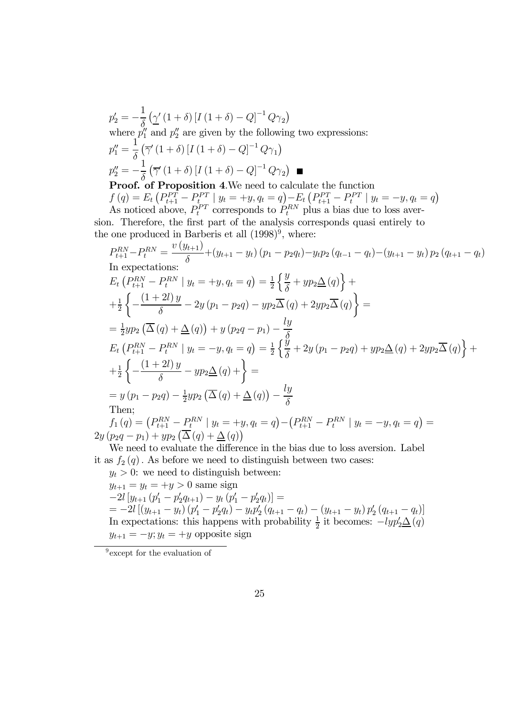$$
p'_2 = -\frac{1}{\delta} \left( \underline{\gamma}' (1 + \delta) \left[ I (1 + \delta) - Q \right]^{-1} Q \gamma_2 \right)
$$
  
where  $p''_1$  and  $p''_2$  are given by the following two expressions:  

$$
p''_1 = \frac{1}{\delta} \left( \overline{\gamma}' (1 + \delta) \left[ I (1 + \delta) - Q \right]^{-1} Q \gamma_1 \right)
$$

$$
p''_2 = -\frac{1}{\delta} \left( \overline{\gamma}' (1 + \delta) \left[ I (1 + \delta) - Q \right]^{-1} Q \gamma_2 \right)
$$
**Proof. of Proposition 4.** We need to calculate the function

 $f(q) = E_t \left( P_{t+1}^{PT} - P_{t}^{PT} \mid y_t = +y, q_t = q \right) - E_t \left( P_{t+1}^{PT} - P_t^{PT} \mid y_t = -y, q_t = q \right)$ As noticed above,  $P_t^{PT}$  corresponds to  $P_t^{RN}$  plus a bias due to loss aversion. Therefore, the first part of the analysis corresponds quasi entirely to the one produced in Barberis et all  $(1998)^9$ , where:

$$
P_{t+1}^{RN} - P_{t}^{RN} = \frac{v(y_{t+1})}{\delta} + (y_{t+1} - y_{t}) (p_{1} - p_{2}q_{t}) - y_{t}p_{2} (q_{t-1} - q_{t}) - (y_{t+1} - y_{t}) p_{2} (q_{t+1} - q_{t})
$$
  
In expectations:  
\n
$$
E_{t} (P_{t+1}^{RN} - P_{t}^{RN} | y_{t} = +y, q_{t} = q) = \frac{1}{2} \left\{ \frac{y}{\delta} + yp_{2} \Delta(q) \right\} +
$$
  
\n
$$
+ \frac{1}{2} \left\{ - \frac{(1+2l)y}{\delta} - 2y (p_{1} - p_{2}q) - yp_{2} \Delta(q) + 2yp_{2} \Delta(q) \right\} =
$$
  
\n
$$
= \frac{1}{2}yp_{2} (\Delta(q) + \Delta(q)) + y (p_{2}q - p_{1}) - \frac{ly}{\delta}
$$
  
\n
$$
E_{t} (P_{t+1}^{RN} - P_{t}^{RN} | y_{t} = -y, q_{t} = q) = \frac{1}{2} \left\{ \frac{y}{\delta} + 2y (p_{1} - p_{2}q) + yp_{2} \Delta(q) + 2yp_{2} \Delta(q) \right\} +
$$
  
\n
$$
+ \frac{1}{2} \left\{ - \frac{(1+2l)y}{\delta} - yp_{2} \Delta(q) + \right\} =
$$
  
\n
$$
= y (p_{1} - p_{2}q) - \frac{1}{2}yp_{2} (\Delta(q) + \Delta(q)) - \frac{ly}{\delta}
$$
  
\nThen;

 $f_1(q) = \left(P_{t+1}^{RN} - P_t^{RN} \mid y_t = +y, q_t = q\right) - \left(P_{t+1}^{RN} - P_t^{RN} \mid y_t = -y, q_t = q\right) =$  $2y (p_2q - p_1) + yp_2 (\overline{\Delta}(q) + \underline{\Delta}(q))$ 

We need to evaluate the difference in the bias due to loss aversion. Label it as  $f_2(q)$ . As before we need to distinguish between two cases:

 $y_t > 0$ : we need to distinguish between:  $y_{t+1} = y_t = +y > 0$  same sign  $-2l [y_{t+1} (p'_1 - p'_2 q_{t+1}) - y_t (p'_1 - p'_2 q_t)] =$  $= -2l \left[ \left( y_{t+1} - y_t \right) \left( p_1' - p_2' q_t \right) - y_t p_2' \left( q_{t+1} - q_t \right) - \left( y_{t+1} - y_t \right) p_2' \left( q_{t+1} - q_t \right) \right]$ In expectations: this happens with probability  $\frac{1}{2}$  it becomes:  $-lyp_2'\Delta(q)$  $y_{t+1} = -y$ ;  $y_t = +y$  opposite sign

<sup>&</sup>lt;sup>9</sup> except for the evaluation of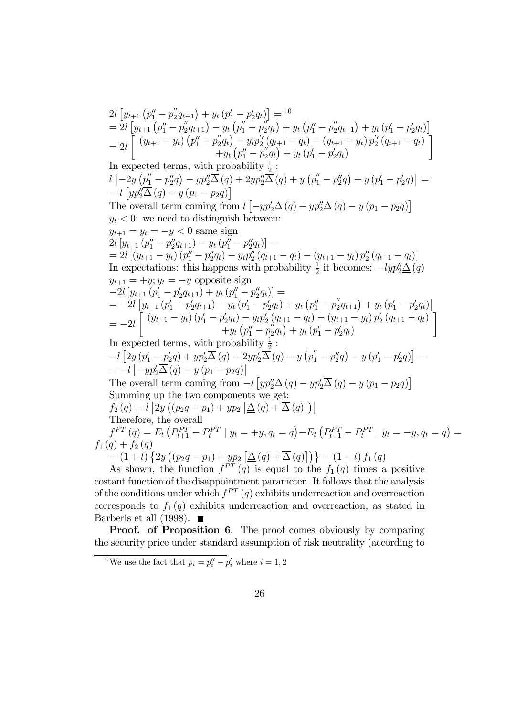$2l \left[ y_{t+1} \left( p''_1 - p''_2 q_{t+1} \right) + y_t \left( p'_1 - p'_2 q_t \right) \right] = 10$  $= 2l \left[ y_{t+1} \left( p''_1 - p''_2 q_{t+1} \right) - y_t \left( p''_1 - p''_2 q_{t} \right) + y_t \left( p''_1 - p''_2 q_{t+1} \right) + y_t \left( p'_1 - p'_2 q_{t} \right) \right]$  $= 2l \int_0^{\pi} (y_{t+1} - y_t) \left( p_1'' - p_2'' q_t \right) - y_t p_2' (q_{t+1} - q_t) - (y_{t+1} - y_t) p_2' (q_{t+1} - q_t)$  $+y_t(p''_1-p''_2q_t)+y_t(p'_1-p'_2q_t)$ ้า In expected terms, with probability  $\frac{1}{2}$ :  $l\left[ -2y\left( p_1'' - p_2''q \right) -yp_2''\overline{\Delta} \left( q \right) + 2yp_2''\overline{\Delta} \left( q \right) +y\left( p_1'' - p_2''q \right) +y\left( p_1' - p_2'q \right) \right] =$  $= l [yp_2''\overline{\Delta}(q) - y (p_1 - p_2 q)]$ The overall term coming from  $l \left[ -yp_2'\Delta(q) + yp_2''\overline{\Delta}(q) - y(p_1 - p_2q) \right]$  $y_t < 0$ : we need to distinguish between:  $y_{t+1} = y_t = -y < 0$  same sign  $2l [y_{t+1} (p_1'' - p_2'' q_{t+1}) - y_t (p_1'' - p_2'' q_t)] =$  $= 2l \left[ \left( y_{t+1} - y_t \right) \left( p_1'' - p_2'' q_t \right) - y_t p_2'' \left( q_{t+1} - q_t \right) - \left( y_{t+1} - y_t \right) p_2'' \left( q_{t+1} - q_t \right) \right]$ In expectations: this happens with probability  $\frac{1}{2}$  it becomes:  $-lyp_2'' \underline{\Delta}(q)$  $y_{t+1} = +y$ ;  $y_t = -y$  opposite sign  $-2l [y_{t+1} (p'_1 - p'_2 q_{t+1}) + y_t (p''_1 - p''_2 q_t)] =$  $= -2l \left[ y_{t+1} (p'_1 - p'_2 q_{t+1}) - y_t (p'_1 - p'_2 q_t) + y_t (p''_1 - p''_2 q_{t+1}) + y_t (p'_1 - p'_2 q_t) \right]$  $=-2l\int\limits_0^{\pi}\frac{\left(y_{t+1}-y_t\right)\left(p_1^{\prime}-p_2^{\prime}q_t\right)-y_tp_2^{\prime}\left(q_{t+1}-q_t\right)-\left(y_{t+1}-y_t\right)p_2^{\prime}\left(q_{t+1}-q_t\right)}{+u_t\left(p_1^{\prime}-p_2^{\prime}q_t\right)+u_t\left(p_1^{\prime}-p_2^{\prime}q_t\right)}$  $+y_t(p''_1-p''_2q_t)+y_t(p'_1-p'_2q_t)$ 1 In expected terms, with probability  $\frac{1}{2}$ :  $-l [2y (p'_1 - p'_2 q) + yp'_2 \overline{\Delta}(q) - 2yp'_2 \overline{\Delta}(q) - y (p''_1 - p''_2 q) - y (p'_1 - p'_2 q)] =$  $= -l \left[ -yp_2'\overline{\Delta}(q) - y(p_1 - p_2q) \right]$ The overall term coming from  $-l [yp''_2\Delta(q) - yp'_2\overline{\Delta}(q) - y(p_1 - p_2q)]$ Summing up the two components we get:  $f_2(q) = l \left[ 2y \left( (p_2q - p_1) + yp_2 \left[ \Delta(q) + \overline{\Delta}(q) \right] \right) \right]$ Therefore, the overall  $f_1^{PT}(q) = E_t (P_{t+1}^{PT} - P_t^{PT} | y_t = +y, q_t = q) - E_t (P_{t+1}^{PT} - P_t^{PT} | y_t = -y, q_t = q) =$  $f_1(q) + f_2(q)$  $=(1+l)\{2y((p_2q-p_1)+yp_2[\Delta(q)+\overline{\Delta}(q)])\}=(1+l) f_1(q)$ As shown, the function  $f^{PT}(q)$  is equal to the  $f_1(q)$  times a positive

costant function of the disappointment parameter. It follows that the analysis of the conditions under which  $f^{PT}(q)$  exhibits underreaction and overreaction corresponds to  $f_1(q)$  exhibits underreaction and overreaction, as stated in Barberis et all (1998).  $\blacksquare$ 

Proof. of Proposition 6. The proof comes obviously by comparing the security price under standard assumption of risk neutrality (according to

<sup>&</sup>lt;sup>10</sup>We use the fact that  $p_i = p_i'' - p_i'$  where  $i = 1, 2$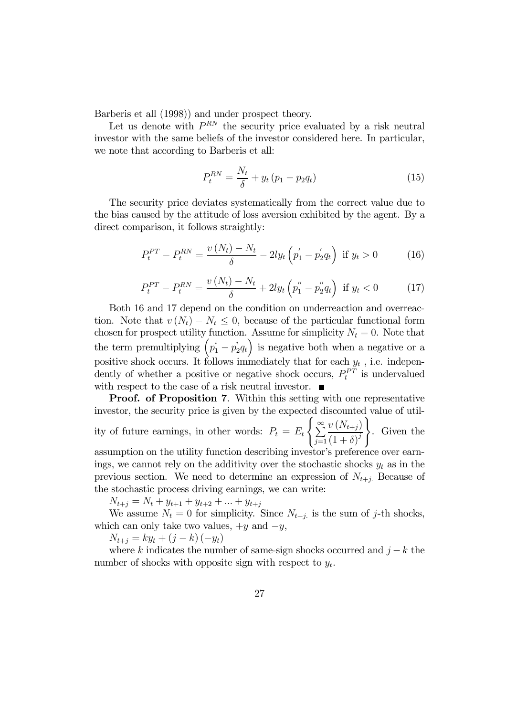Barberis et all (1998)) and under prospect theory.

Let us denote with  $P^{RN}$  the security price evaluated by a risk neutral investor with the same beliefs of the investor considered here. In particular, we note that according to Barberis et all:

$$
P_t^{RN} = \frac{N_t}{\delta} + y_t (p_1 - p_2 q_t)
$$
 (15)

The security price deviates systematically from the correct value due to the bias caused by the attitude of loss aversion exhibited by the agent. By a direct comparison, it follows straightly:

$$
P_t^{PT} - P_t^{RN} = \frac{v\left(N_t\right) - N_t}{\delta} - 2ly_t\left(p_1' - p_2'q_t\right) \text{ if } y_t > 0 \tag{16}
$$

$$
P_t^{PT} - P_t^{RN} = \frac{v\left(N_t\right) - N_t}{\delta} + 2ly_t\left(p_1'' - p_2''q_t\right) \text{ if } y_t < 0 \tag{17}
$$

Both 16 and 17 depend on the condition on underreaction and overreaction. Note that  $v(N_t) - N_t \leq 0$ , because of the particular functional form chosen for prospect utility function. Assume for simplicity  $N_t = 0$ . Note that the term premultiplying  $(p_1^i - p_2^i q_t)$  is negative both when a negative or a positive shock occurs. It follows immediately that for each  $y_t$ , i.e. independently of whether a positive or negative shock occurs,  $P_t^{PT}$  is undervalued with respect to the case of a risk neutral investor.  $\blacksquare$ 

Proof. of Proposition 7. Within this setting with one representative investor, the security price is given by the expected discounted value of utility of future earnings, in other words:  $P_t = E_t$  $\sqrt{ }$  $\sum_{i=1}^{\infty}$  $j=1$  $v(N_{t+j})$  $(1+\delta)^j$  $\mathcal{L}$ . Given the assumption on the utility function describing investor's preference over earn-

ings, we cannot rely on the additivity over the stochastic shocks  $y_t$  as in the previous section. We need to determine an expression of  $N_{t+j}$ . Because of the stochastic process driving earnings, we can write:

 $N_{t+j} = N_t + y_{t+1} + y_{t+2} + \ldots + y_{t+j}$ 

We assume  $N_t = 0$  for simplicity. Since  $N_{t+i}$  is the sum of j-th shocks, which can only take two values,  $+y$  and  $-y$ ,

 $N_{t+j} = k y_t + (j - k) (-y_t)$ 

where k indicates the number of same-sign shocks occurred and  $j - k$  the number of shocks with opposite sign with respect to  $y_t$ .